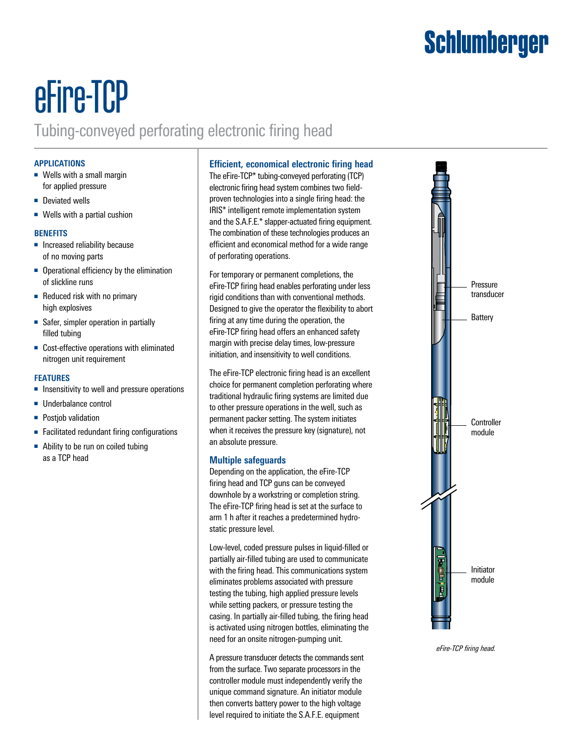## Schlumberger

# eFire-TCP

### Tubing-conveyed perforating electronic firing head

#### **APPLICATIONS**

- Wells with a small margin for applied pressure
- Deviated wells
- Wells with a partial cushion

#### **BENEFITS**

- Increased reliability because of no moving parts
- Operational efficiency by the elimination of slickline runs
- Reduced risk with no primary high explosives
- Safer, simpler operation in partially filled tubing
- Cost-effective operations with eliminated nitrogen unit requirement

#### **FEATURES**

- Insensitivity to well and pressure operations
- Underbalance control
- Postjob validation
- Facilitated redundant firing configurations
- Ability to be run on coiled tubing as a TCP head

#### **Efficient, economical electronic firing head**

The eFire-TCP\* tubing-conveyed perforating (TCP) electronic firing head system combines two fieldproven technologies into a single firing head: the IRIS\* intelligent remote implementation system and the S.A.F.E.\* slapper-actuated firing equipment. The combination of these technologies produces an efficient and economical method for a wide range of perforating operations.

For temporary or permanent completions, the eFire-TCP firing head enables perforating under less rigid conditions than with conventional methods. Designed to give the operator the flexibility to abort firing at any time during the operation, the eFire-TCP firing head offers an enhanced safety margin with precise delay times, low-pressure initiation, and insensitivity to well conditions.

The eFire-TCP electronic firing head is an excellent choice for permanent completion perforating where traditional hydraulic firing systems are limited due to other pressure operations in the well, such as permanent packer setting. The system initiates when it receives the pressure key (signature), not an absolute pressure.

#### **Multiple safeguards**

Depending on the application, the eFire-TCP firing head and TCP guns can be conveyed downhole by a workstring or completion string. The eFire-TCP firing head is set at the surface to arm 1 h after it reaches a predetermined hydrostatic pressure level.

Low-level, coded pressure pulses in liquid-filled or partially air-filled tubing are used to communicate with the firing head. This communications system eliminates problems associated with pressure testing the tubing, high applied pressure levels while setting packers, or pressure testing the casing. In partially air-filled tubing, the firing head is activated using nitrogen bottles, eliminating the need for an onsite nitrogen-pumping unit.

A pressure transducer detects the commands sent from the surface. Two separate processors in the controller module must independently verify the unique command signature. An initiator module then converts battery power to the high voltage level required to initiate the S.A.F.E. equipment



*eFire-TCP firing head.*